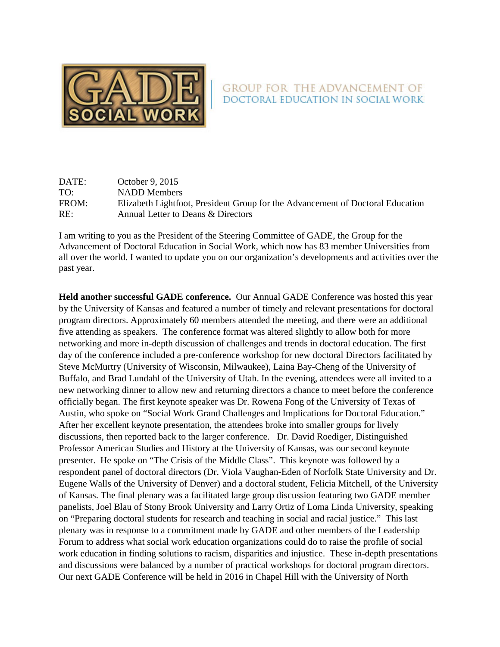

## **GROUP FOR THE ADVANCEMENT OF** DOCTORAL EDUCATION IN SOCIAL WORK

DATE: October 9, 2015 TO: NADD Members FROM: Elizabeth Lightfoot, President Group for the Advancement of Doctoral Education RE: Annual Letter to Deans & Directors

I am writing to you as the President of the Steering Committee of GADE, the Group for the Advancement of Doctoral Education in Social Work, which now has 83 member Universities from all over the world. I wanted to update you on our organization's developments and activities over the past year.

**Held another successful GADE conference.** Our Annual GADE Conference was hosted this year by the University of Kansas and featured a number of timely and relevant presentations for doctoral program directors. Approximately 60 members attended the meeting, and there were an additional five attending as speakers. The conference format was altered slightly to allow both for more networking and more in-depth discussion of challenges and trends in doctoral education. The first day of the conference included a pre-conference workshop for new doctoral Directors facilitated by Steve McMurtry (University of Wisconsin, Milwaukee), Laina Bay-Cheng of the University of Buffalo, and Brad Lundahl of the University of Utah. In the evening, attendees were all invited to a new networking dinner to allow new and returning directors a chance to meet before the conference officially began. The first keynote speaker was Dr. Rowena Fong of the University of Texas of Austin, who spoke on "Social Work Grand Challenges and Implications for Doctoral Education." After her excellent keynote presentation, the attendees broke into smaller groups for lively discussions, then reported back to the larger conference. Dr. David Roediger, Distinguished Professor American Studies and History at the University of Kansas, was our second keynote presenter. He spoke on "The Crisis of the Middle Class". This keynote was followed by a respondent panel of doctoral directors (Dr. Viola Vaughan-Eden of Norfolk State University and Dr. Eugene Walls of the University of Denver) and a doctoral student, Felicia Mitchell, of the University of Kansas. The final plenary was a facilitated large group discussion featuring two GADE member panelists, Joel Blau of Stony Brook University and Larry Ortiz of Loma Linda University, speaking on "Preparing doctoral students for research and teaching in social and racial justice." This last plenary was in response to a commitment made by GADE and other members of the Leadership Forum to address what social work education organizations could do to raise the profile of social work education in finding solutions to racism, disparities and injustice. These in-depth presentations and discussions were balanced by a number of practical workshops for doctoral program directors. Our next GADE Conference will be held in 2016 in Chapel Hill with the University of North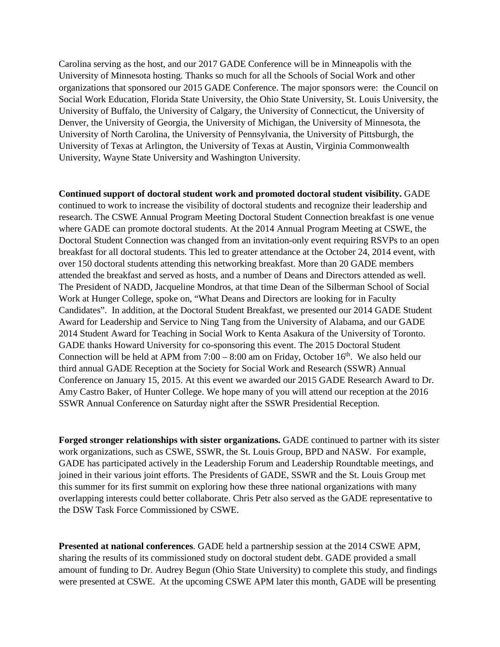Carolina serving as the host, and our 2017 GADE Conference will be in Minneapolis with the University of Minnesota hosting. Thanks so much for all the Schools of Social Work and other organizations that sponsored our 2015 GADE Conference. The major sponsors were: the Council on Social Work Education, Florida State University, the Ohio State University, St. Louis University, the University of Buffalo, the University of Calgary, the University of Connecticut, the University of Denver, the University of Georgia, the University of Michigan, the University of Minnesota, the University of North Carolina, the University of Pennsylvania, the University of Pittsburgh, the University of Texas at Arlington, the University of Texas at Austin, Virginia Commonwealth University, Wayne State University and Washington University.

**Continued support of doctoral student work and promoted doctoral student visibility.** GADE continued to work to increase the visibility of doctoral students and recognize their leadership and research. The CSWE Annual Program Meeting Doctoral Student Connection breakfast is one venue where GADE can promote doctoral students. At the 2014 Annual Program Meeting at CSWE, the Doctoral Student Connection was changed from an invitation-only event requiring RSVPs to an open breakfast for all doctoral students. This led to greater attendance at the October 24, 2014 event, with over 150 doctoral students attending this networking breakfast. More than 20 GADE members attended the breakfast and served as hosts, and a number of Deans and Directors attended as well. The President of NADD, Jacqueline Mondros, at that time Dean of the Silberman School of Social Work at Hunger College, spoke on, "What Deans and Directors are looking for in Faculty Candidates". In addition, at the Doctoral Student Breakfast, we presented our 2014 GADE Student Award for Leadership and Service to Ning Tang from the University of Alabama, and our GADE 2014 Student Award for Teaching in Social Work to Kenta Asakura of the University of Toronto. GADE thanks Howard University for co-sponsoring this event. The 2015 Doctoral Student Connection will be held at APM from  $7:00 - 8:00$  am on Friday, October 16<sup>th</sup>. We also held our third annual GADE Reception at the Society for Social Work and Research (SSWR) Annual Conference on January 15, 2015. At this event we awarded our 2015 GADE Research Award to Dr. Amy Castro Baker, of Hunter College. We hope many of you will attend our reception at the 2016 SSWR Annual Conference on Saturday night after the SSWR Presidential Reception.

**Forged stronger relationships with sister organizations.** GADE continued to partner with its sister work organizations, such as CSWE, SSWR, the St. Louis Group, BPD and NASW. For example, GADE has participated actively in the Leadership Forum and Leadership Roundtable meetings, and joined in their various joint efforts. The Presidents of GADE, SSWR and the St. Louis Group met this summer for its first summit on exploring how these three national organizations with many overlapping interests could better collaborate. Chris Petr also served as the GADE representative to the DSW Task Force Commissioned by CSWE.

**Presented at national conferences**. GADE held a partnership session at the 2014 CSWE APM, sharing the results of its commissioned study on doctoral student debt. GADE provided a small amount of funding to Dr. Audrey Begun (Ohio State University) to complete this study, and findings were presented at CSWE. At the upcoming CSWE APM later this month, GADE will be presenting